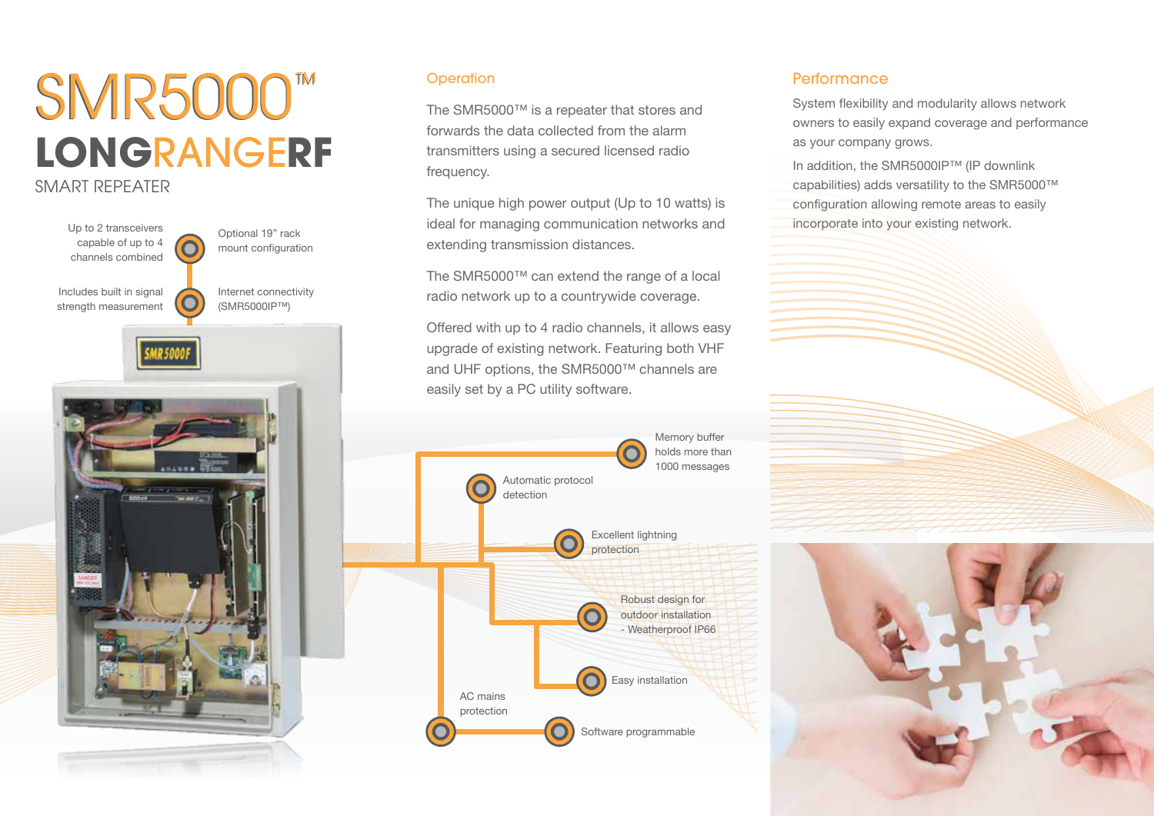# **LONG**RANGE**RF SMR5000™**

### SMART REPEATER



#### **Operation**

The SMR5000™ is a repeater that stores and forwards the data collected from the alarm transmitters using a secured licensed radio frequency.

The unique high power output (Up to 10 watts) is ideal for managing communication networks and incorporate into your existing network. Optional 19" rack extending transmission distances.

> The SMR5000™ can extend the range of a local radio network up to a countrywide coverage.

Offered with up to 4 radio channels, it allows easy upgrade of existing network. Featuring both VHF and UHF options, the SMR5000™ channels are easily set by a PC utility software.



#### **Performance**

System flexibility and modularity allows network owners to easily expand coverage and performance as your company grows.

In addition, the SMR5000IP™ (IP downlink capabilities) adds versatility to the SMR5000™ configuration allowing remote areas to easily